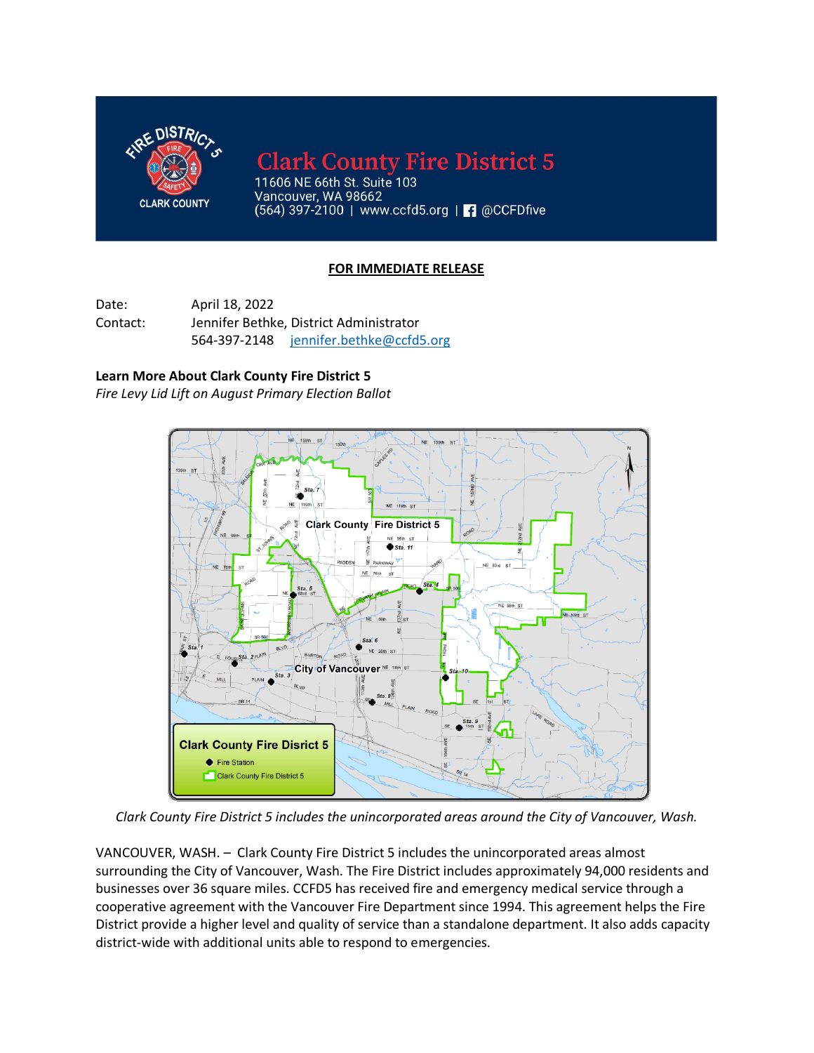

**Clark County Fire District 5** 

11606 NE 66th St. Suite 103 Vancouver, WA 98662 (564) 397-2100 | www.ccfd5.org | | @CCFDfive

## **FOR IMMEDIATE RELEASE**

Date: April 18, 2022 Contact: Jennifer Bethke, District Administrator 564-397-2148 [jennifer.bethke@ccfd5.org](mailto:jennifer.bethke@ccfd5.org)

## **Learn More About Clark County Fire District 5**

*Fire Levy Lid Lift on August Primary Election Ballot*



*Clark County Fire District 5 includes the unincorporated areas around the City of Vancouver, Wash.*

VANCOUVER, WASH. – Clark County Fire District 5 includes the unincorporated areas almost surrounding the City of Vancouver, Wash. The Fire District includes approximately 94,000 residents and businesses over 36 square miles. CCFD5 has received fire and emergency medical service through a cooperative agreement with the Vancouver Fire Department since 1994. This agreement helps the Fire District provide a higher level and quality of service than a standalone department. It also adds capacity district-wide with additional units able to respond to emergencies.